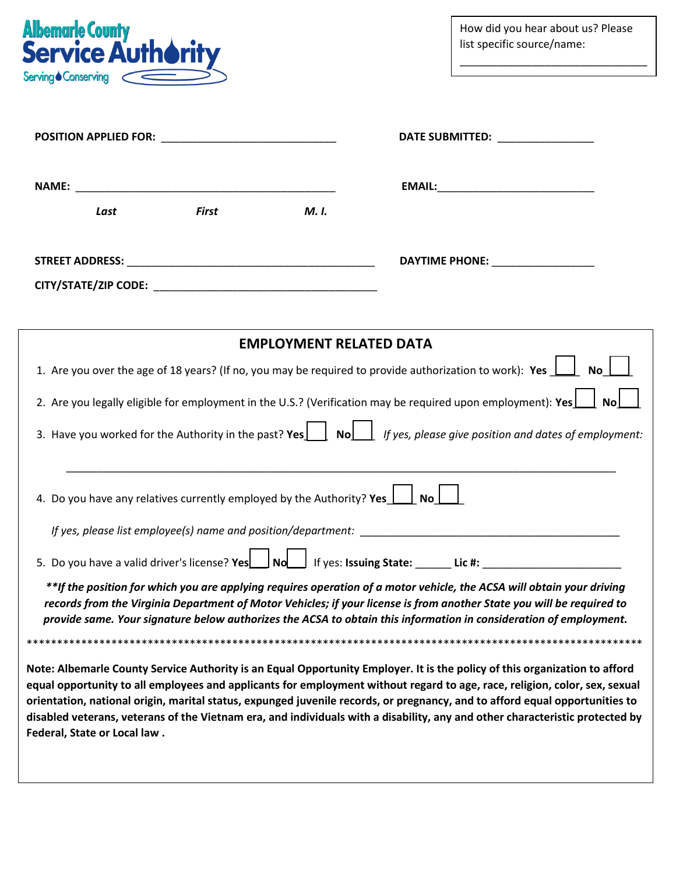

How did you hear about us? Please list specific source/name:

 $\overline{a}$ 

\_\_\_\_\_\_\_\_\_\_\_\_\_\_\_\_\_\_\_\_\_\_\_\_\_\_\_\_\_\_\_

|                                                                                                                              |              |                                | DATE SUBMITTED: _______________                                                                                                                                                                                                                                                                                                                                                                                                                                                                                         |  |  |  |
|------------------------------------------------------------------------------------------------------------------------------|--------------|--------------------------------|-------------------------------------------------------------------------------------------------------------------------------------------------------------------------------------------------------------------------------------------------------------------------------------------------------------------------------------------------------------------------------------------------------------------------------------------------------------------------------------------------------------------------|--|--|--|
|                                                                                                                              |              |                                |                                                                                                                                                                                                                                                                                                                                                                                                                                                                                                                         |  |  |  |
| Last                                                                                                                         | <b>First</b> | M. I.                          |                                                                                                                                                                                                                                                                                                                                                                                                                                                                                                                         |  |  |  |
|                                                                                                                              |              |                                | DAYTIME PHONE: ___________________                                                                                                                                                                                                                                                                                                                                                                                                                                                                                      |  |  |  |
|                                                                                                                              |              |                                |                                                                                                                                                                                                                                                                                                                                                                                                                                                                                                                         |  |  |  |
|                                                                                                                              |              |                                |                                                                                                                                                                                                                                                                                                                                                                                                                                                                                                                         |  |  |  |
|                                                                                                                              |              | <b>EMPLOYMENT RELATED DATA</b> |                                                                                                                                                                                                                                                                                                                                                                                                                                                                                                                         |  |  |  |
|                                                                                                                              |              |                                | 1. Are you over the age of 18 years? (If no, you may be required to provide authorization to work): Yes $\Box$<br><b>No</b>                                                                                                                                                                                                                                                                                                                                                                                             |  |  |  |
|                                                                                                                              |              |                                | 2. Are you legally eligible for employment in the U.S.? (Verification may be required upon employment): Yes<br><b>No</b>                                                                                                                                                                                                                                                                                                                                                                                                |  |  |  |
| 3. Have you worked for the Authority in the past? Yes $\Box$ No $\Box$ If yes, please give position and dates of employment: |              |                                |                                                                                                                                                                                                                                                                                                                                                                                                                                                                                                                         |  |  |  |
| 4. Do you have any relatives currently employed by the Authority? Yes 1. No                                                  |              |                                |                                                                                                                                                                                                                                                                                                                                                                                                                                                                                                                         |  |  |  |
|                                                                                                                              |              |                                |                                                                                                                                                                                                                                                                                                                                                                                                                                                                                                                         |  |  |  |
| 5. Do you have a valid driver's license? Yes   No   If yes: Issuing State: ______ Lic #: _____________________               |              |                                |                                                                                                                                                                                                                                                                                                                                                                                                                                                                                                                         |  |  |  |
|                                                                                                                              |              |                                | **If the position for which you are applying requires operation of a motor vehicle, the ACSA will obtain your driving<br>records from the Virginia Department of Motor Vehicles; if your license is from another State you will be required to<br>provide same. Your signature below authorizes the ACSA to obtain this information in consideration of employment.                                                                                                                                                     |  |  |  |
|                                                                                                                              |              |                                |                                                                                                                                                                                                                                                                                                                                                                                                                                                                                                                         |  |  |  |
| Federal, State or Local law.                                                                                                 |              |                                | Note: Albemarle County Service Authority is an Equal Opportunity Employer. It is the policy of this organization to afford<br>equal opportunity to all employees and applicants for employment without regard to age, race, religion, color, sex, sexual<br>orientation, national origin, marital status, expunged juvenile records, or pregnancy, and to afford equal opportunities to<br>disabled veterans, veterans of the Vietnam era, and individuals with a disability, any and other characteristic protected by |  |  |  |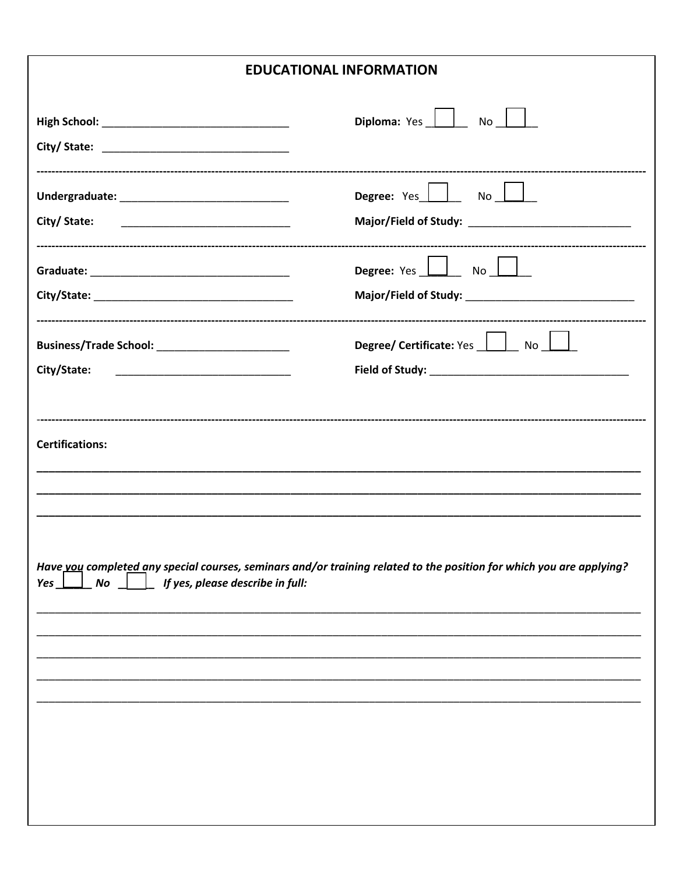## **EDUCATIONAL INFORMATION**

|                                                       | Diploma: Yes   No                                                                                                    |
|-------------------------------------------------------|----------------------------------------------------------------------------------------------------------------------|
|                                                       |                                                                                                                      |
|                                                       | Degree: Yes LIND                                                                                                     |
| City/ State:                                          |                                                                                                                      |
|                                                       | Degree: Yes   No                                                                                                     |
|                                                       |                                                                                                                      |
| Business/Trade School: _______________________        | Degree/ Certificate: Yes   No                                                                                        |
| City/State:                                           |                                                                                                                      |
|                                                       |                                                                                                                      |
| $Yes \perp No \perp$ if yes, please describe in full: | Have vou completed any special courses, seminars and/or training related to the position for which you are applying? |
|                                                       |                                                                                                                      |
|                                                       |                                                                                                                      |
|                                                       |                                                                                                                      |
|                                                       |                                                                                                                      |
|                                                       |                                                                                                                      |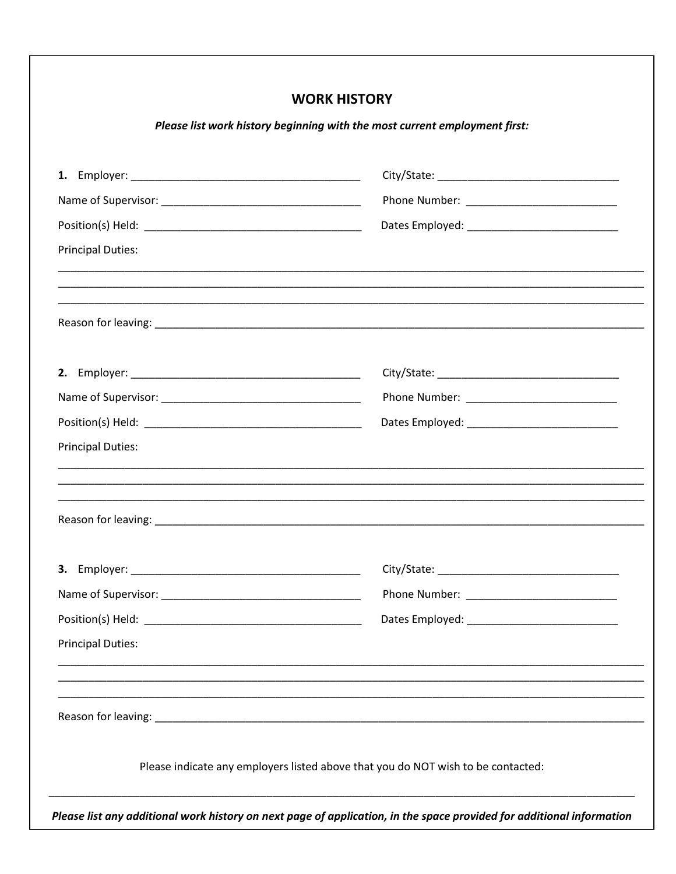| <b>WORK HISTORY</b>      |                                                                                  |  |  |  |  |  |
|--------------------------|----------------------------------------------------------------------------------|--|--|--|--|--|
|                          | Please list work history beginning with the most current employment first:       |  |  |  |  |  |
|                          |                                                                                  |  |  |  |  |  |
|                          |                                                                                  |  |  |  |  |  |
|                          |                                                                                  |  |  |  |  |  |
| <b>Principal Duties:</b> |                                                                                  |  |  |  |  |  |
|                          |                                                                                  |  |  |  |  |  |
|                          |                                                                                  |  |  |  |  |  |
|                          |                                                                                  |  |  |  |  |  |
|                          |                                                                                  |  |  |  |  |  |
| <b>Principal Duties:</b> |                                                                                  |  |  |  |  |  |
|                          |                                                                                  |  |  |  |  |  |
|                          |                                                                                  |  |  |  |  |  |
|                          |                                                                                  |  |  |  |  |  |
|                          |                                                                                  |  |  |  |  |  |
| <b>Principal Duties:</b> |                                                                                  |  |  |  |  |  |
|                          | ,我们也不能在这里的,我们也不能在这里的时候,我们也不能在这里的时候,我们也不能会不能会不能会不能会不能会不能会不能会。""我们的人们,我们也不能会不能会不能会 |  |  |  |  |  |
|                          | Please indicate any employers listed above that you do NOT wish to be contacted: |  |  |  |  |  |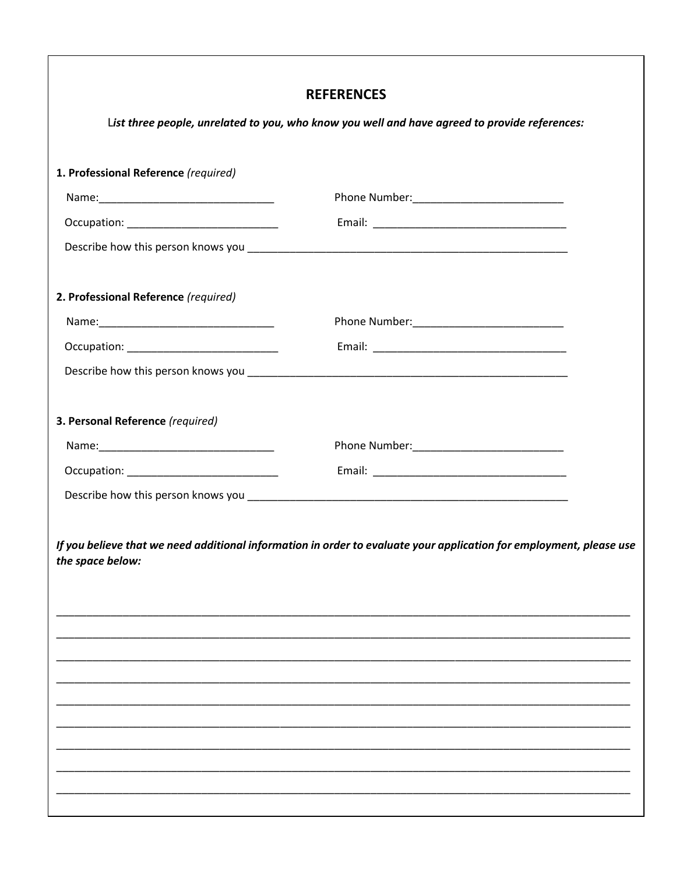|                                                                                               | <b>REFERENCES</b>                                                                                                   |  |  |  |  |  |
|-----------------------------------------------------------------------------------------------|---------------------------------------------------------------------------------------------------------------------|--|--|--|--|--|
| List three people, unrelated to you, who know you well and have agreed to provide references: |                                                                                                                     |  |  |  |  |  |
| 1. Professional Reference (required)                                                          |                                                                                                                     |  |  |  |  |  |
|                                                                                               |                                                                                                                     |  |  |  |  |  |
|                                                                                               |                                                                                                                     |  |  |  |  |  |
|                                                                                               |                                                                                                                     |  |  |  |  |  |
| 2. Professional Reference (required)                                                          |                                                                                                                     |  |  |  |  |  |
|                                                                                               |                                                                                                                     |  |  |  |  |  |
|                                                                                               |                                                                                                                     |  |  |  |  |  |
|                                                                                               |                                                                                                                     |  |  |  |  |  |
|                                                                                               |                                                                                                                     |  |  |  |  |  |
| 3. Personal Reference (required)                                                              |                                                                                                                     |  |  |  |  |  |
|                                                                                               |                                                                                                                     |  |  |  |  |  |
|                                                                                               |                                                                                                                     |  |  |  |  |  |
|                                                                                               |                                                                                                                     |  |  |  |  |  |
|                                                                                               |                                                                                                                     |  |  |  |  |  |
| the space below:                                                                              | If you believe that we need additional information in order to evaluate your application for employment, please use |  |  |  |  |  |
|                                                                                               |                                                                                                                     |  |  |  |  |  |
|                                                                                               |                                                                                                                     |  |  |  |  |  |
|                                                                                               |                                                                                                                     |  |  |  |  |  |
|                                                                                               |                                                                                                                     |  |  |  |  |  |
|                                                                                               |                                                                                                                     |  |  |  |  |  |
|                                                                                               |                                                                                                                     |  |  |  |  |  |
|                                                                                               |                                                                                                                     |  |  |  |  |  |
|                                                                                               |                                                                                                                     |  |  |  |  |  |